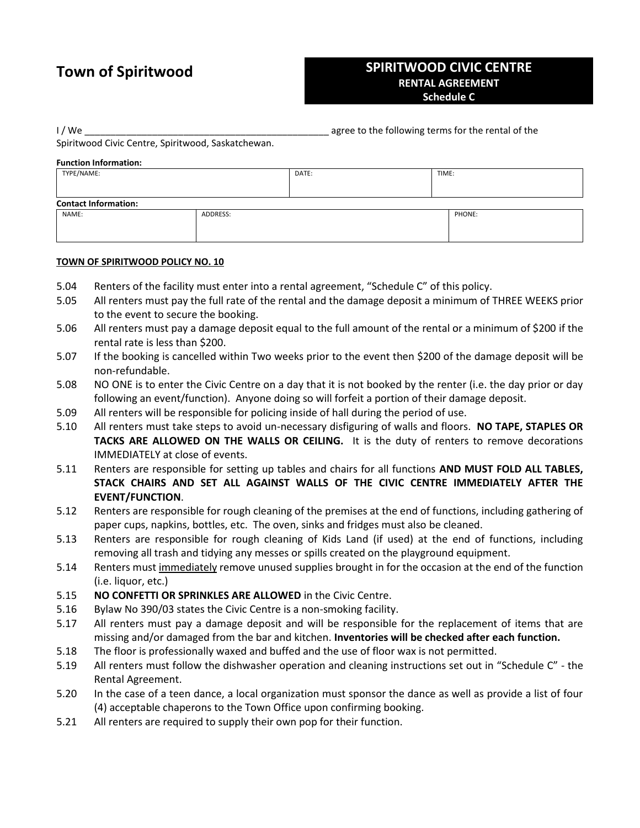# **Town of Spiritwood**

# **SPIRITWOOD CIVIC CENTRE RENTAL AGREEMENT Schedule C**

I / We **I** agree to the following terms for the rental of the

Spiritwood Civic Centre, Spiritwood, Saskatchewan.

### **Function Information:**

| TYPE/NAME:                  |          | DATE: | TIME:  |
|-----------------------------|----------|-------|--------|
|                             |          |       |        |
| <b>Contact Information:</b> |          |       |        |
| NAME:                       | ADDRESS: |       | PHONE: |
|                             |          |       |        |
|                             |          |       |        |

## **TOWN OF SPIRITWOOD POLICY NO. 10**

- 5.04 Renters of the facility must enter into a rental agreement, "Schedule C" of this policy.
- 5.05 All renters must pay the full rate of the rental and the damage deposit a minimum of THREE WEEKS prior to the event to secure the booking.
- 5.06 All renters must pay a damage deposit equal to the full amount of the rental or a minimum of \$200 if the rental rate is less than \$200.
- 5.07 If the booking is cancelled within Two weeks prior to the event then \$200 of the damage deposit will be non-refundable.
- 5.08 NO ONE is to enter the Civic Centre on a day that it is not booked by the renter (i.e. the day prior or day following an event/function). Anyone doing so will forfeit a portion of their damage deposit.
- 5.09 All renters will be responsible for policing inside of hall during the period of use.
- 5.10 All renters must take steps to avoid un-necessary disfiguring of walls and floors. **NO TAPE, STAPLES OR TACKS ARE ALLOWED ON THE WALLS OR CEILING.** It is the duty of renters to remove decorations IMMEDIATELY at close of events.
- 5.11 Renters are responsible for setting up tables and chairs for all functions **AND MUST FOLD ALL TABLES, STACK CHAIRS AND SET ALL AGAINST WALLS OF THE CIVIC CENTRE IMMEDIATELY AFTER THE EVENT/FUNCTION**.
- 5.12 Renters are responsible for rough cleaning of the premises at the end of functions, including gathering of paper cups, napkins, bottles, etc. The oven, sinks and fridges must also be cleaned.
- 5.13 Renters are responsible for rough cleaning of Kids Land (if used) at the end of functions, including removing all trash and tidying any messes or spills created on the playground equipment.
- 5.14 Renters must immediately remove unused supplies brought in for the occasion at the end of the function (i.e. liquor, etc.)
- 5.15 **NO CONFETTI OR SPRINKLES ARE ALLOWED** in the Civic Centre.
- 5.16 Bylaw No 390/03 states the Civic Centre is a non-smoking facility.
- 5.17 All renters must pay a damage deposit and will be responsible for the replacement of items that are missing and/or damaged from the bar and kitchen. **Inventories will be checked after each function.**
- 5.18 The floor is professionally waxed and buffed and the use of floor wax is not permitted.
- 5.19 All renters must follow the dishwasher operation and cleaning instructions set out in "Schedule C" the Rental Agreement.
- 5.20 In the case of a teen dance, a local organization must sponsor the dance as well as provide a list of four (4) acceptable chaperons to the Town Office upon confirming booking.
- 5.21 All renters are required to supply their own pop for their function.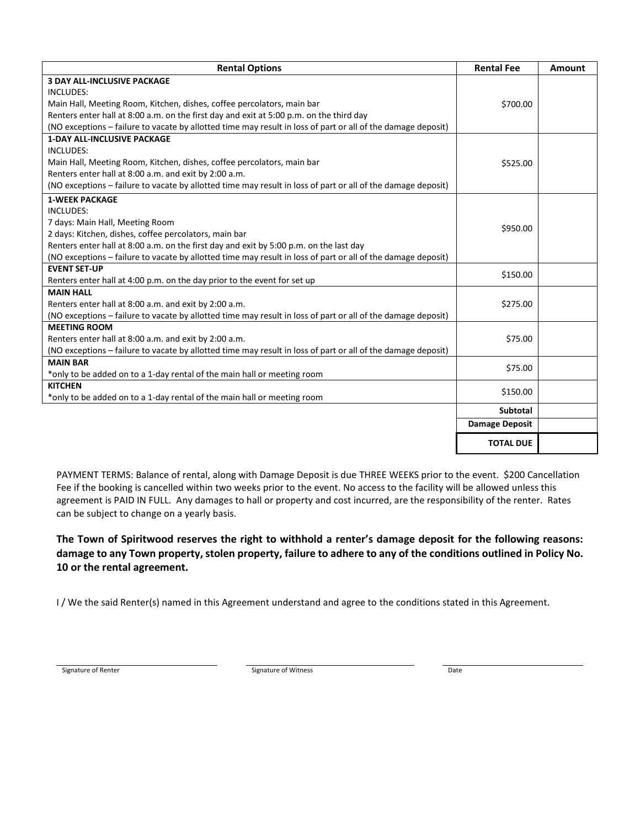| <b>Rental Options</b>                                                                                        | <b>Rental Fee</b>     | <b>Amount</b> |
|--------------------------------------------------------------------------------------------------------------|-----------------------|---------------|
| <b>3 DAY ALL-INCLUSIVE PACKAGE</b>                                                                           |                       |               |
| <b>INCLUDES:</b>                                                                                             |                       |               |
| Main Hall, Meeting Room, Kitchen, dishes, coffee percolators, main bar                                       | \$700.00              |               |
| Renters enter hall at 8:00 a.m. on the first day and exit at 5:00 p.m. on the third day                      |                       |               |
| (NO exceptions - failure to vacate by allotted time may result in loss of part or all of the damage deposit) |                       |               |
| <b>1-DAY ALL-INCLUSIVE PACKAGE</b>                                                                           |                       |               |
| <b>INCLUDES:</b>                                                                                             | \$525.00              |               |
| Main Hall, Meeting Room, Kitchen, dishes, coffee percolators, main bar                                       |                       |               |
| Renters enter hall at 8:00 a.m. and exit by 2:00 a.m.                                                        |                       |               |
| (NO exceptions - failure to vacate by allotted time may result in loss of part or all of the damage deposit) |                       |               |
| <b>1-WEEK PACKAGE</b>                                                                                        |                       |               |
| INCLUDES:                                                                                                    |                       |               |
| 7 days: Main Hall, Meeting Room                                                                              |                       |               |
| 2 days: Kitchen, dishes, coffee percolators, main bar                                                        | \$950.00              |               |
| Renters enter hall at 8:00 a.m. on the first day and exit by 5:00 p.m. on the last day                       |                       |               |
| (NO exceptions – failure to vacate by allotted time may result in loss of part or all of the damage deposit) |                       |               |
| <b>EVENT SET-UP</b>                                                                                          | \$150.00              |               |
| Renters enter hall at 4:00 p.m. on the day prior to the event for set up                                     |                       |               |
| <b>MAIN HALL</b>                                                                                             |                       |               |
| Renters enter hall at 8:00 a.m. and exit by 2:00 a.m.                                                        | \$275.00              |               |
| (NO exceptions - failure to vacate by allotted time may result in loss of part or all of the damage deposit) |                       |               |
| <b>MEETING ROOM</b>                                                                                          |                       |               |
| Renters enter hall at 8:00 a.m. and exit by 2:00 a.m.                                                        | \$75.00               |               |
| (NO exceptions - failure to vacate by allotted time may result in loss of part or all of the damage deposit) |                       |               |
| <b>MAIN BAR</b>                                                                                              | \$75.00               |               |
| *only to be added on to a 1-day rental of the main hall or meeting room                                      |                       |               |
| <b>KITCHEN</b>                                                                                               | \$150.00              |               |
| *only to be added on to a 1-day rental of the main hall or meeting room                                      |                       |               |
|                                                                                                              | <b>Subtotal</b>       |               |
|                                                                                                              | <b>Damage Deposit</b> |               |
|                                                                                                              | <b>TOTAL DUE</b>      |               |
|                                                                                                              |                       |               |

PAYMENT TERMS: Balance of rental, along with Damage Deposit is due THREE WEEKS prior to the event. \$200 Cancellation Fee if the booking is cancelled within two weeks prior to the event. No access to the facility will be allowed unless this agreement is PAID IN FULL. Any damages to hall or property and cost incurred, are the responsibility of the renter. Rates can be subject to change on a yearly basis.

**The Town of Spiritwood reserves the right to withhold a renter's damage deposit for the following reasons: damage to any Town property, stolen property, failure to adhere to any of the conditions outlined in Policy No. 10 or the rental agreement.** 

I / We the said Renter(s) named in this Agreement understand and agree to the conditions stated in this Agreement.

Signature of Renter **Signature of Witness** Date of Renter and Date of Witness Date of Witness Date of Renter and Date of Pate of Pate of Pate of Pate of Pate of Pate of Pate of Pate of Pate of Pate of Pate of Pate of Pate